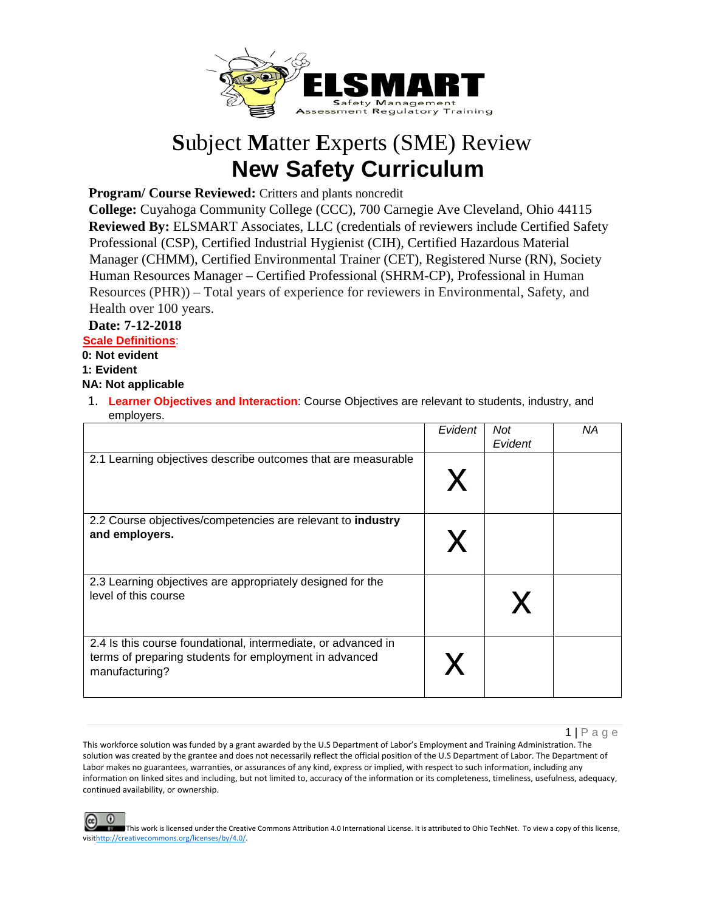

## **S**ubject **M**atter **E**xperts (SME) Review **New Safety Curriculum**

Program/ Course Reviewed: Critters and plants noncredit

**College:** Cuyahoga Community College (CCC), 700 Carnegie Ave Cleveland, Ohio 44115 **Reviewed By:** ELSMART Associates, LLC (credentials of reviewers include Certified Safety Professional (CSP), Certified Industrial Hygienist (CIH), Certified Hazardous Material Manager (CHMM), Certified Environmental Trainer (CET), Registered Nurse (RN), Society Human Resources Manager – Certified Professional (SHRM-CP), Professional in Human Resources (PHR)) – Total years of experience for reviewers in Environmental, Safety, and Health over 100 years.

## **Date: 7-12-2018**

**Scale Definitions**:

**0: Not evident** 

**1: Evident** 

**NA: Not applicable**

1. **Learner Objectives and Interaction**: Course Objectives are relevant to students, industry, and employers.

|                                                                                                                                           | Evident | <b>Not</b><br>Evident | ΝA |
|-------------------------------------------------------------------------------------------------------------------------------------------|---------|-----------------------|----|
| 2.1 Learning objectives describe outcomes that are measurable                                                                             |         |                       |    |
| 2.2 Course objectives/competencies are relevant to industry<br>and employers.                                                             |         |                       |    |
| 2.3 Learning objectives are appropriately designed for the<br>level of this course                                                        |         |                       |    |
| 2.4 Is this course foundational, intermediate, or advanced in<br>terms of preparing students for employment in advanced<br>manufacturing? |         |                       |    |

1 | Page

This workforce solution was funded by a grant awarded by the U.S Department of Labor's Employment and Training Administration. The solution was created by the grantee and does not necessarily reflect the official position of the U.S Department of Labor. The Department of Labor makes no guarantees, warranties, or assurances of any kind, express or implied, with respect to such information, including any information on linked sites and including, but not limited to, accuracy of the information or its completeness, timeliness, usefulness, adequacy, continued availability, or ownership.

This work is licensed under the Creative Commons Attribution 4.0 International License. It is attributed to Ohio TechNet. To view a copy of this license, vis[ithttp://creativecommons.org/licenses/by/4.0/.](http://creativecommons.org/licenses/by/4.0/)